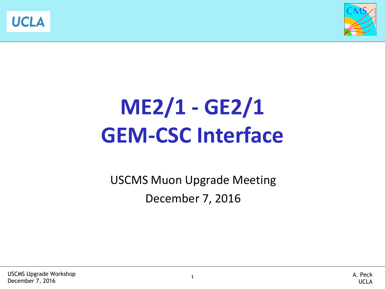



## **ME2/1 - GE2/1 GEM-CSC Interface**

USCMS Muon Upgrade Meeting December 7, 2016